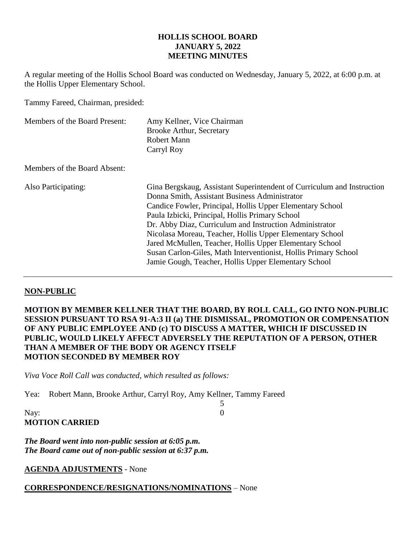#### **HOLLIS SCHOOL BOARD JANUARY 5, 2022 MEETING MINUTES**

A regular meeting of the Hollis School Board was conducted on Wednesday, January 5, 2022, at 6:00 p.m. at the Hollis Upper Elementary School.

Tammy Fareed, Chairman, presided:

| Members of the Board Present: | Amy Kellner, Vice Chairman<br><b>Brooke Arthur, Secretary</b><br><b>Robert Mann</b><br>Carryl Roy                                                                                                                                                                                                                                                                                                                                                                                                                                                    |
|-------------------------------|------------------------------------------------------------------------------------------------------------------------------------------------------------------------------------------------------------------------------------------------------------------------------------------------------------------------------------------------------------------------------------------------------------------------------------------------------------------------------------------------------------------------------------------------------|
| Members of the Board Absent:  |                                                                                                                                                                                                                                                                                                                                                                                                                                                                                                                                                      |
| Also Participating:           | Gina Bergskaug, Assistant Superintendent of Curriculum and Instruction<br>Donna Smith, Assistant Business Administrator<br>Candice Fowler, Principal, Hollis Upper Elementary School<br>Paula Izbicki, Principal, Hollis Primary School<br>Dr. Abby Diaz, Curriculum and Instruction Administrator<br>Nicolasa Moreau, Teacher, Hollis Upper Elementary School<br>Jared McMullen, Teacher, Hollis Upper Elementary School<br>Susan Carlon-Giles, Math Interventionist, Hollis Primary School<br>Jamie Gough, Teacher, Hollis Upper Elementary School |

### **NON-PUBLIC**

**MOTION BY MEMBER KELLNER THAT THE BOARD, BY ROLL CALL, GO INTO NON-PUBLIC SESSION PURSUANT TO RSA 91-A:3 II (a) THE DISMISSAL, PROMOTION OR COMPENSATION OF ANY PUBLIC EMPLOYEE AND (c) TO DISCUSS A MATTER, WHICH IF DISCUSSED IN PUBLIC, WOULD LIKELY AFFECT ADVERSELY THE REPUTATION OF A PERSON, OTHER THAN A MEMBER OF THE BODY OR AGENCY ITSELF MOTION SECONDED BY MEMBER ROY**

5

*Viva Voce Roll Call was conducted, which resulted as follows:*

Yea: Robert Mann, Brooke Arthur, Carryl Roy, Amy Kellner, Tammy Fareed

Nay: 0 **MOTION CARRIED**

*The Board went into non-public session at 6:05 p.m. The Board came out of non-public session at 6:37 p.m.*

**AGENDA ADJUSTMENTS** - None

### **CORRESPONDENCE/RESIGNATIONS/NOMINATIONS** – None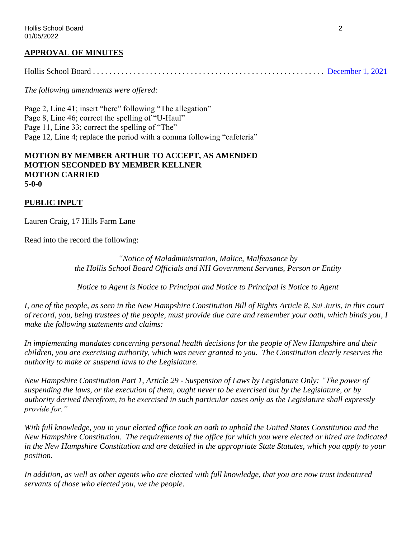### **APPROVAL OF MINUTES**

Hollis School Board . . . . . . . . . . . . . . . . . . . . . . . . . . . . . . . . . . . . . . . . . . . . . . . . . . . . . . . . . [December 1, 2021](https://www.sau41.org/docs/district/depts/108/2021-12-01-hsb-minutes-draft.pdf?id=2584)

*The following amendments were offered:*

Page 2, Line 41; insert "here" following "The allegation" Page 8, Line 46; correct the spelling of "U-Haul" Page 11, Line 33; correct the spelling of "The" Page 12, Line 4; replace the period with a comma following "cafeteria"

#### **MOTION BY MEMBER ARTHUR TO ACCEPT, AS AMENDED MOTION SECONDED BY MEMBER KELLNER MOTION CARRIED 5-0-0**

#### **PUBLIC INPUT**

Lauren Craig, 17 Hills Farm Lane

Read into the record the following:

*"Notice of Maladministration, Malice, Malfeasance by the Hollis School Board Officials and NH Government Servants, Person or Entity*

*Notice to Agent is Notice to Principal and Notice to Principal is Notice to Agent*

*I, one of the people, as seen in the New Hampshire Constitution Bill of Rights Article 8, Sui Juris, in this court of record, you, being trustees of the people, must provide due care and remember your oath, which binds you, I make the following statements and claims:*

*In implementing mandates concerning personal health decisions for the people of New Hampshire and their children, you are exercising authority, which was never granted to you. The Constitution clearly reserves the authority to make or suspend laws to the Legislature.*

*New Hampshire Constitution Part 1, Article 29 - Suspension of Laws by Legislature Only: "The power of suspending the laws, or the execution of them, ought never to be exercised but by the Legislature, or by authority derived therefrom, to be exercised in such particular cases only as the Legislature shall expressly provide for."*

*With full knowledge, you in your elected office took an oath to uphold the United States Constitution and the New Hampshire Constitution. The requirements of the office for which you were elected or hired are indicated in the New Hampshire Constitution and are detailed in the appropriate State Statutes, which you apply to your position.*

*In addition, as well as other agents who are elected with full knowledge, that you are now trust indentured servants of those who elected you, we the people.*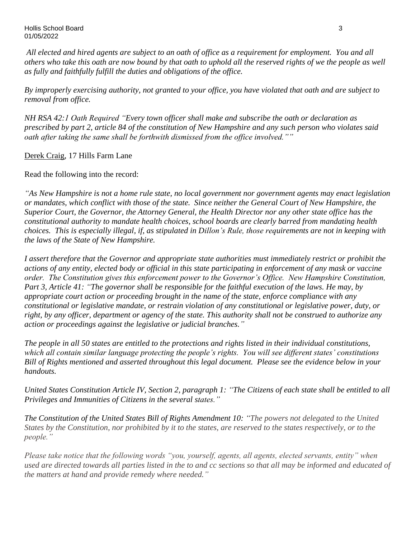Hollis School Board 3 01/05/2022

*All elected and hired agents are subject to an oath of office as a requirement for employment. You and all others who take this oath are now bound by that oath to uphold all the reserved rights of we the people as well as fully and faithfully fulfill the duties and obligations of the office.*

*By improperly exercising authority, not granted to your office, you have violated that oath and are subject to removal from office.*

*NH RSA 42:1 Oath Required "Every town officer shall make and subscribe the oath or declaration as prescribed by part 2, article 84 of the constitution of New Hampshire and any such person who violates said oath after taking the same shall be forthwith dismissed from the office involved.""*

Derek Craig, 17 Hills Farm Lane

Read the following into the record:

*"As New Hampshire is not a home rule state, no local government nor government agents may enact legislation or mandates, which conflict with those of the state. Since neither the General Court of New Hampshire, the Superior Court, the Governor, the Attorney General, the Health Director nor any other state office has the constitutional authority to mandate health choices, school boards are clearly barred from mandating health choices. This is especially illegal, if, as stipulated in Dillon's Rule, those requirements are not in keeping with the laws of the State of New Hampshire.*

*I assert therefore that the Governor and appropriate state authorities must immediately restrict or prohibit the actions of any entity, elected body or official in this state participating in enforcement of any mask or vaccine order. The Constitution gives this enforcement power to the Governor's Office. New Hampshire Constitution, Part 3, Article 41: "The governor shall be responsible for the faithful execution of the laws. He may, by appropriate court action or proceeding brought in the name of the state, enforce compliance with any constitutional or legislative mandate, or restrain violation of any constitutional or legislative power, duty, or right, by any officer, department or agency of the state. This authority shall not be construed to authorize any action or proceedings against the legislative or judicial branches."*

*The people in all 50 states are entitled to the protections and rights listed in their individual constitutions, which all contain similar language protecting the people's rights. You will see different states' constitutions Bill of Rights mentioned and asserted throughout this legal document. Please see the evidence below in your handouts.* 

*United States Constitution Article IV, Section 2, paragraph 1: "The Citizens of each state shall be entitled to all Privileges and Immunities of Citizens in the several states."* 

*The Constitution of the United States Bill of Rights Amendment 10: "The powers not delegated to the United States by the Constitution, nor prohibited by it to the states, are reserved to the states respectively, or to the people."*

*Please take notice that the following words "you, yourself, agents, all agents, elected servants, entity" when used are directed towards all parties listed in the to and cc sections so that all may be informed and educated of the matters at hand and provide remedy where needed."*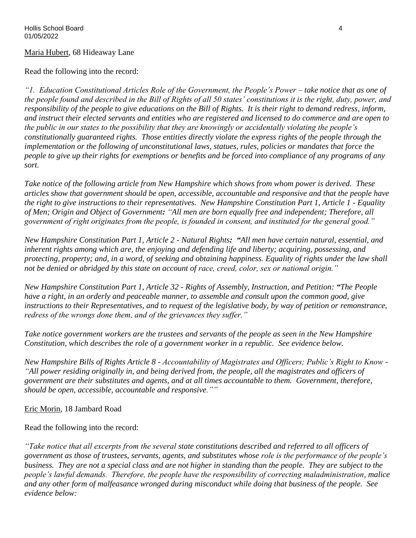### Maria Hubert, 68 Hideaway Lane

Read the following into the record:

*"1. Education Constitutional Articles Role of the Government, the People's Power – take notice that as one of the people found and described in the Bill of Rights of all 50 states' constitutions it is the right, duty, power, and responsibility of the people to give educations on the Bill of Rights. It is their right to demand redress, inform, and instruct their elected servants and entities who are registered and licensed to do commerce and are open to the public in our states to the possibility that they are knowingly or accidentally violating the people's constitutionally guaranteed rights. Those entities directly violate the express rights of the people through the implementation or the following of unconstitutional laws, statues, rules, policies or mandates that force the people to give up their rights for exemptions or benefits and be forced into compliance of any programs of any sort.*

*Take notice of the following article from New Hampshire which shows from whom power is derived. These articles show that government should be open, accessible, accountable and responsive and that the people have the right to give instructions to their representatives. New Hampshire Constitution Part 1, Article 1 - Equality of Men; Origin and Object of Government: "All men are born equally free and independent; Therefore, all government of right originates from the people, is founded in consent, and instituted for the general good."*

*New Hampshire Constitution Part 1, Article 2 - Natural Rights: "All men have certain natural, essential, and inherent rights among which are, the enjoying and defending life and liberty; acquiring, possessing, and protecting, property; and, in a word, of seeking and obtaining happiness. Equality of rights under the law shall not be denied or abridged by this state on account of race, creed, color, sex or national origin."*

*New Hampshire Constitution Part 1, Article 32 - Rights of Assembly, Instruction, and Petition: "The People have a right, in an orderly and peaceable manner, to assemble and consult upon the common good, give instructions to their Representatives, and to request of the legislative body, by way of petition or remonstrance, redress of the wrongs done them, and of the grievances they suffer."*

*Take notice government workers are the trustees and servants of the people as seen in the New Hampshire Constitution, which describes the role of a government worker in a republic. See evidence below.*

*New Hampshire Bills of Rights Article 8 - Accountability of Magistrates and Officers; Public's Right to Know - "All power residing originally in, and being derived from, the people, all the magistrates and officers of government are their substitutes and agents, and at all times accountable to them. Government, therefore, should be open, accessible, accountable and responsive.""*

Eric Morin, 18 Jambard Road

Read the following into the record:

*"Take notice that all excerpts from the several state constitutions described and referred to all officers of government as those of trustees, servants, agents, and substitutes whose role is the performance of the people's business. They are not a special class and are not higher in standing than the people. They are subject to the people's lawful demands. Therefore, the people have the responsibility of correcting maladministration, malice and any other form of malfeasance wronged during misconduct while doing that business of the people. See evidence below:*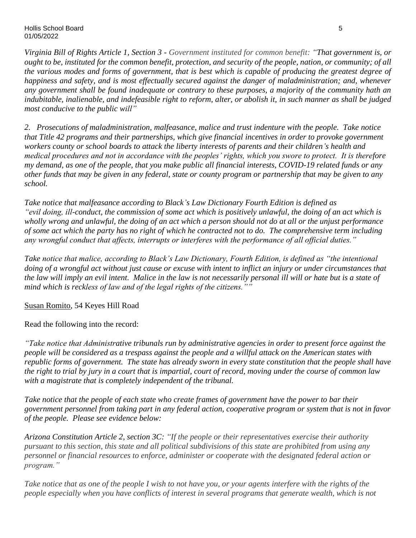*Virginia Bill of Rights Article 1, Section 3 - Government instituted for common benefit: "That government is, or ought to be, instituted for the common benefit, protection, and security of the people, nation, or community; of all the various modes and forms of government, that is best which is capable of producing the greatest degree of happiness and safety, and is most effectually secured against the danger of maladministration; and, whenever any government shall be found inadequate or contrary to these purposes, a majority of the community hath an indubitable, inalienable, and indefeasible right to reform, alter, or abolish it, in such manner as shall be judged most conducive to the public will"*

*2. Prosecutions of maladministration, malfeasance, malice and trust indenture with the people. Take notice that Title 42 programs and their partnerships, which give financial incentives in order to provoke government workers county or school boards to attack the liberty interests of parents and their children's health and medical procedures and not in accordance with the peoples' rights, which you swore to protect. It is therefore my demand, as one of the people, that you make public all financial interests, COVID-19 related funds or any other funds that may be given in any federal, state or county program or partnership that may be given to any school.*

*Take notice that malfeasance according to Black's Law Dictionary Fourth Edition is defined as "evil doing, ill-conduct, the commission of some act which is positively unlawful, the doing of an act which is wholly wrong and unlawful, the doing of an act which a person should not do at all or the unjust performance of some act which the party has no right of which he contracted not to do. The comprehensive term including any wrongful conduct that affects, interrupts or interferes with the performance of all official duties."*

*Take notice that malice, according to Black's Law Dictionary, Fourth Edition, is defined as "the intentional doing of a wrongful act without just cause or excuse with intent to inflict an injury or under circumstances that the law will imply an evil intent. Malice in the law is not necessarily personal ill will or hate but is a state of mind which is reckless of law and of the legal rights of the citizens.""*

Susan Romito, 54 Keyes Hill Road

Read the following into the record:

*"Take notice that Administrative tribunals run by administrative agencies in order to present force against the people will be considered as a trespass against the people and a willful attack on the American states with republic forms of government. The state has already sworn in every state constitution that the people shall have the right to trial by jury in a court that is impartial, court of record, moving under the course of common law with a magistrate that is completely independent of the tribunal.* 

*Take notice that the people of each state who create frames of government have the power to bar their government personnel from taking part in any federal action, cooperative program or system that is not in favor of the people. Please see evidence below:*

*Arizona Constitution Article 2, section 3C: "If the people or their representatives exercise their authority pursuant to this section, this state and all political subdivisions of this state are prohibited from using any personnel or financial resources to enforce, administer or cooperate with the designated federal action or program."*

*Take notice that as one of the people I wish to not have you, or your agents interfere with the rights of the people especially when you have conflicts of interest in several programs that generate wealth, which is not*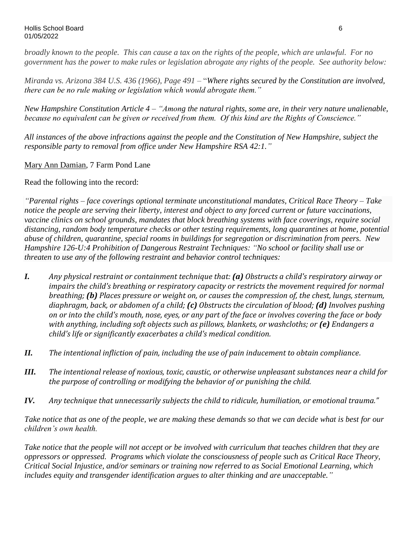*broadly known to the people. This can cause a tax on the rights of the people, which are unlawful. For no government has the power to make rules or legislation abrogate any rights of the people. See authority below:*

*Miranda vs. Arizona 384 U.S. 436 (1966), Page 491 –* "*Where rights secured by the Constitution are involved, there can be no rule making or legislation which would abrogate them."*

*New Hampshire Constitution Article 4 – "Among the natural rights, some are, in their very nature unalienable, because no equivalent can be given or received from them. Of this kind are the Rights of Conscience."* 

*All instances of the above infractions against the people and the Constitution of New Hampshire, subject the responsible party to removal from office under New Hampshire RSA 42:1."*

Mary Ann Damian, 7 Farm Pond Lane

Read the following into the record:

*"Parental rights – face coverings optional terminate unconstitutional mandates, Critical Race Theory – Take notice the people are serving their liberty, interest and object to any forced current or future vaccinations, vaccine clinics on school grounds, mandates that block breathing systems with face coverings, require social distancing, random body temperature checks or other testing requirements, long quarantines at home, potential abuse of children, quarantine, special rooms in buildings for segregation or discrimination from peers. New Hampshire 126-U:4 Prohibition of Dangerous Restraint Techniques: "No school or facility shall use or threaten to use any of the following restraint and behavior control techniques:*

- *I. Any physical restraint or containment technique that: (a) Obstructs a child's respiratory airway or impairs the child's breathing or respiratory capacity or restricts the movement required for normal breathing; (b) Places pressure or weight on, or causes the compression of, the chest, lungs, sternum, diaphragm, back, or abdomen of a child; (c) Obstructs the circulation of blood; (d) Involves pushing on or into the child's mouth, nose, eyes, or any part of the face or involves covering the face or body with anything, including soft objects such as pillows, blankets, or washcloths; or (e) Endangers a child's life or significantly exacerbates a child's medical condition.*
- *II. The intentional infliction of pain, including the use of pain inducement to obtain compliance.*
- *III. The intentional release of noxious, toxic, caustic, or otherwise unpleasant substances near a child for the purpose of controlling or modifying the behavior of or punishing the child.*
- *IV. Any technique that unnecessarily subjects the child to ridicule, humiliation, or emotional trauma."*

*Take notice that as one of the people, we are making these demands so that we can decide what is best for our children's own health.* 

*Take notice that the people will not accept or be involved with curriculum that teaches children that they are oppressors or oppressed. Programs which violate the consciousness of people such as Critical Race Theory, Critical Social Injustice, and/or seminars or training now referred to as Social Emotional Learning, which includes equity and transgender identification argues to alter thinking and are unacceptable."*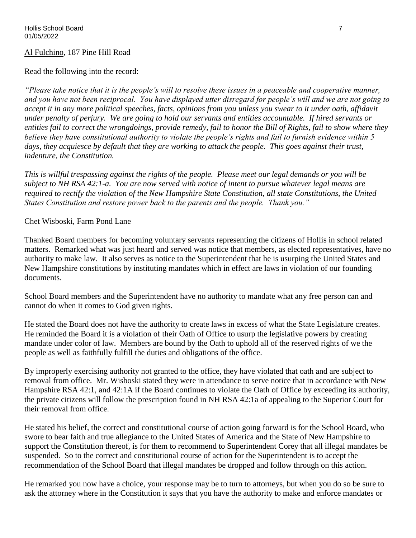#### Al Fulchino, 187 Pine Hill Road

#### Read the following into the record:

*"Please take notice that it is the people's will to resolve these issues in a peaceable and cooperative manner, and you have not been reciprocal. You have displayed utter disregard for people's will and we are not going to accept it in any more political speeches, facts, opinions from you unless you swear to it under oath, affidavit under penalty of perjury. We are going to hold our servants and entities accountable. If hired servants or entities fail to correct the wrongdoings, provide remedy, fail to honor the Bill of Rights, fail to show where they believe they have constitutional authority to violate the people's rights and fail to furnish evidence within 5 days, they acquiesce by default that they are working to attack the people. This goes against their trust, indenture, the Constitution.* 

*This is willful trespassing against the rights of the people. Please meet our legal demands or you will be subject to NH RSA 42:1-a. You are now served with notice of intent to pursue whatever legal means are required to rectify the violation of the New Hampshire State Constitution, all state Constitutions, the United States Constitution and restore power back to the parents and the people. Thank you."*

#### Chet Wisboski, Farm Pond Lane

Thanked Board members for becoming voluntary servants representing the citizens of Hollis in school related matters. Remarked what was just heard and served was notice that members, as elected representatives, have no authority to make law. It also serves as notice to the Superintendent that he is usurping the United States and New Hampshire constitutions by instituting mandates which in effect are laws in violation of our founding documents.

School Board members and the Superintendent have no authority to mandate what any free person can and cannot do when it comes to God given rights.

He stated the Board does not have the authority to create laws in excess of what the State Legislature creates. He reminded the Board it is a violation of their Oath of Office to usurp the legislative powers by creating mandate under color of law. Members are bound by the Oath to uphold all of the reserved rights of we the people as well as faithfully fulfill the duties and obligations of the office.

By improperly exercising authority not granted to the office, they have violated that oath and are subject to removal from office. Mr. Wisboski stated they were in attendance to serve notice that in accordance with New Hampshire RSA 42:1, and 42:1A if the Board continues to violate the Oath of Office by exceeding its authority, the private citizens will follow the prescription found in NH RSA 42:1a of appealing to the Superior Court for their removal from office.

He stated his belief, the correct and constitutional course of action going forward is for the School Board, who swore to bear faith and true allegiance to the United States of America and the State of New Hampshire to support the Constitution thereof, is for them to recommend to Superintendent Corey that all illegal mandates be suspended. So to the correct and constitutional course of action for the Superintendent is to accept the recommendation of the School Board that illegal mandates be dropped and follow through on this action.

He remarked you now have a choice, your response may be to turn to attorneys, but when you do so be sure to ask the attorney where in the Constitution it says that you have the authority to make and enforce mandates or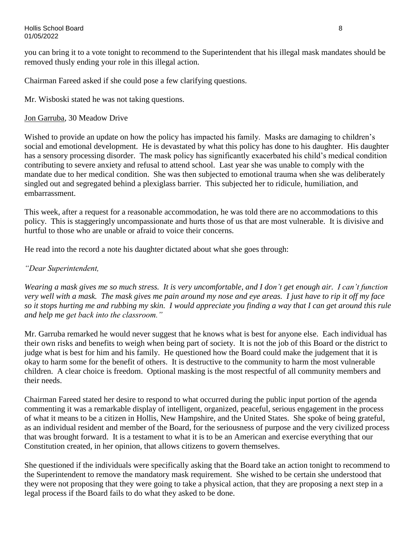you can bring it to a vote tonight to recommend to the Superintendent that his illegal mask mandates should be removed thusly ending your role in this illegal action.

Chairman Fareed asked if she could pose a few clarifying questions.

Mr. Wisboski stated he was not taking questions.

## Jon Garruba, 30 Meadow Drive

Wished to provide an update on how the policy has impacted his family. Masks are damaging to children's social and emotional development. He is devastated by what this policy has done to his daughter. His daughter has a sensory processing disorder. The mask policy has significantly exacerbated his child's medical condition contributing to severe anxiety and refusal to attend school. Last year she was unable to comply with the mandate due to her medical condition. She was then subjected to emotional trauma when she was deliberately singled out and segregated behind a plexiglass barrier. This subjected her to ridicule, humiliation, and embarrassment.

This week, after a request for a reasonable accommodation, he was told there are no accommodations to this policy. This is staggeringly uncompassionate and hurts those of us that are most vulnerable. It is divisive and hurtful to those who are unable or afraid to voice their concerns.

He read into the record a note his daughter dictated about what she goes through:

## *"Dear Superintendent,*

*Wearing a mask gives me so much stress. It is very uncomfortable, and I don't get enough air. I can't function very well with a mask. The mask gives me pain around my nose and eye areas. I just have to rip it off my face so it stops hurting me and rubbing my skin. I would appreciate you finding a way that I can get around this rule and help me get back into the classroom."*

Mr. Garruba remarked he would never suggest that he knows what is best for anyone else. Each individual has their own risks and benefits to weigh when being part of society. It is not the job of this Board or the district to judge what is best for him and his family. He questioned how the Board could make the judgement that it is okay to harm some for the benefit of others. It is destructive to the community to harm the most vulnerable children. A clear choice is freedom. Optional masking is the most respectful of all community members and their needs.

Chairman Fareed stated her desire to respond to what occurred during the public input portion of the agenda commenting it was a remarkable display of intelligent, organized, peaceful, serious engagement in the process of what it means to be a citizen in Hollis, New Hampshire, and the United States. She spoke of being grateful, as an individual resident and member of the Board, for the seriousness of purpose and the very civilized process that was brought forward. It is a testament to what it is to be an American and exercise everything that our Constitution created, in her opinion, that allows citizens to govern themselves.

She questioned if the individuals were specifically asking that the Board take an action tonight to recommend to the Superintendent to remove the mandatory mask requirement. She wished to be certain she understood that they were not proposing that they were going to take a physical action, that they are proposing a next step in a legal process if the Board fails to do what they asked to be done.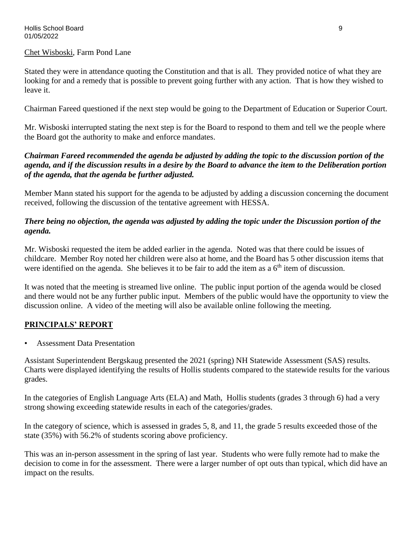#### Chet Wisboski, Farm Pond Lane

Stated they were in attendance quoting the Constitution and that is all. They provided notice of what they are looking for and a remedy that is possible to prevent going further with any action. That is how they wished to leave it.

Chairman Fareed questioned if the next step would be going to the Department of Education or Superior Court.

Mr. Wisboski interrupted stating the next step is for the Board to respond to them and tell we the people where the Board got the authority to make and enforce mandates.

### *Chairman Fareed recommended the agenda be adjusted by adding the topic to the discussion portion of the agenda, and if the discussion results in a desire by the Board to advance the item to the Deliberation portion of the agenda, that the agenda be further adjusted.*

Member Mann stated his support for the agenda to be adjusted by adding a discussion concerning the document received, following the discussion of the tentative agreement with HESSA.

## *There being no objection, the agenda was adjusted by adding the topic under the Discussion portion of the agenda.*

Mr. Wisboski requested the item be added earlier in the agenda. Noted was that there could be issues of childcare. Member Roy noted her children were also at home, and the Board has 5 other discussion items that were identified on the agenda. She believes it to be fair to add the item as a  $6<sup>th</sup>$  item of discussion.

It was noted that the meeting is streamed live online. The public input portion of the agenda would be closed and there would not be any further public input. Members of the public would have the opportunity to view the discussion online. A video of the meeting will also be available online following the meeting.

## **PRINCIPALS' REPORT**

• Assessment Data Presentation

Assistant Superintendent Bergskaug presented the 2021 (spring) NH Statewide Assessment (SAS) results. Charts were displayed identifying the results of Hollis students compared to the statewide results for the various grades.

In the categories of English Language Arts (ELA) and Math, Hollis students (grades 3 through 6) had a very strong showing exceeding statewide results in each of the categories/grades.

In the category of science, which is assessed in grades 5, 8, and 11, the grade 5 results exceeded those of the state (35%) with 56.2% of students scoring above proficiency.

This was an in-person assessment in the spring of last year. Students who were fully remote had to make the decision to come in for the assessment. There were a larger number of opt outs than typical, which did have an impact on the results.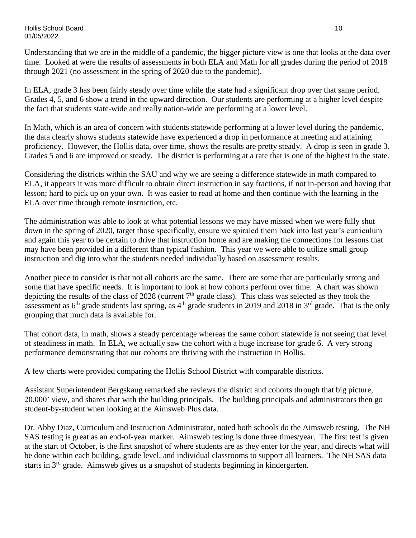Understanding that we are in the middle of a pandemic, the bigger picture view is one that looks at the data over time. Looked at were the results of assessments in both ELA and Math for all grades during the period of 2018 through 2021 (no assessment in the spring of 2020 due to the pandemic).

In ELA, grade 3 has been fairly steady over time while the state had a significant drop over that same period. Grades 4, 5, and 6 show a trend in the upward direction. Our students are performing at a higher level despite the fact that students state-wide and really nation-wide are performing at a lower level.

In Math, which is an area of concern with students statewide performing at a lower level during the pandemic, the data clearly shows students statewide have experienced a drop in performance at meeting and attaining proficiency. However, the Hollis data, over time, shows the results are pretty steady. A drop is seen in grade 3. Grades 5 and 6 are improved or steady. The district is performing at a rate that is one of the highest in the state.

Considering the districts within the SAU and why we are seeing a difference statewide in math compared to ELA, it appears it was more difficult to obtain direct instruction in say fractions, if not in-person and having that lesson; hard to pick up on your own. It was easier to read at home and then continue with the learning in the ELA over time through remote instruction, etc.

The administration was able to look at what potential lessons we may have missed when we were fully shut down in the spring of 2020, target those specifically, ensure we spiraled them back into last year's curriculum and again this year to be certain to drive that instruction home and are making the connections for lessons that may have been provided in a different than typical fashion. This year we were able to utilize small group instruction and dig into what the students needed individually based on assessment results.

Another piece to consider is that not all cohorts are the same. There are some that are particularly strong and some that have specific needs. It is important to look at how cohorts perform over time. A chart was shown depicting the results of the class of 2028 (current 7th grade class). This class was selected as they took the assessment as  $6<sup>th</sup>$  grade students last spring, as  $4<sup>th</sup>$  grade students in 2019 and 2018 in  $3<sup>rd</sup>$  grade. That is the only grouping that much data is available for.

That cohort data, in math, shows a steady percentage whereas the same cohort statewide is not seeing that level of steadiness in math. In ELA, we actually saw the cohort with a huge increase for grade 6. A very strong performance demonstrating that our cohorts are thriving with the instruction in Hollis.

A few charts were provided comparing the Hollis School District with comparable districts.

Assistant Superintendent Bergskaug remarked she reviews the district and cohorts through that big picture, 20,000' view, and shares that with the building principals. The building principals and administrators then go student-by-student when looking at the Aimsweb Plus data.

Dr. Abby Diaz, Curriculum and Instruction Administrator, noted both schools do the Aimsweb testing. The NH SAS testing is great as an end-of-year marker. Aimsweb testing is done three times/year. The first test is given at the start of October, is the first snapshot of where students are as they enter for the year, and directs what will be done within each building, grade level, and individual classrooms to support all learners. The NH SAS data starts in 3rd grade. Aimsweb gives us a snapshot of students beginning in kindergarten.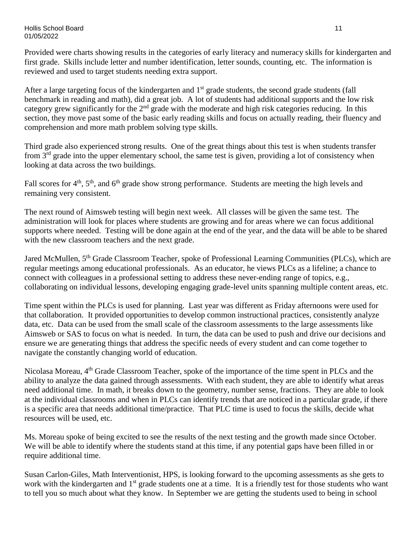Provided were charts showing results in the categories of early literacy and numeracy skills for kindergarten and first grade. Skills include letter and number identification, letter sounds, counting, etc. The information is reviewed and used to target students needing extra support.

After a large targeting focus of the kindergarten and  $1<sup>st</sup>$  grade students, the second grade students (fall benchmark in reading and math), did a great job. A lot of students had additional supports and the low risk category grew significantly for the 2<sup>nd</sup> grade with the moderate and high risk categories reducing. In this section, they move past some of the basic early reading skills and focus on actually reading, their fluency and comprehension and more math problem solving type skills.

Third grade also experienced strong results. One of the great things about this test is when students transfer from 3rd grade into the upper elementary school, the same test is given, providing a lot of consistency when looking at data across the two buildings.

Fall scores for  $4<sup>th</sup>$ ,  $5<sup>th</sup>$ , and  $6<sup>th</sup>$  grade show strong performance. Students are meeting the high levels and remaining very consistent.

The next round of Aimsweb testing will begin next week. All classes will be given the same test. The administration will look for places where students are growing and for areas where we can focus additional supports where needed. Testing will be done again at the end of the year, and the data will be able to be shared with the new classroom teachers and the next grade.

Jared McMullen, 5<sup>th</sup> Grade Classroom Teacher, spoke of Professional Learning Communities (PLCs), which are regular meetings among educational professionals. As an educator, he views PLCs as a lifeline; a chance to connect with colleagues in a professional setting to address these never-ending range of topics, e.g., collaborating on individual lessons, developing engaging grade-level units spanning multiple content areas, etc.

Time spent within the PLCs is used for planning. Last year was different as Friday afternoons were used for that collaboration. It provided opportunities to develop common instructional practices, consistently analyze data, etc. Data can be used from the small scale of the classroom assessments to the large assessments like Aimsweb or SAS to focus on what is needed. In turn, the data can be used to push and drive our decisions and ensure we are generating things that address the specific needs of every student and can come together to navigate the constantly changing world of education.

Nicolasa Moreau, 4<sup>th</sup> Grade Classroom Teacher, spoke of the importance of the time spent in PLCs and the ability to analyze the data gained through assessments. With each student, they are able to identify what areas need additional time. In math, it breaks down to the geometry, number sense, fractions. They are able to look at the individual classrooms and when in PLCs can identify trends that are noticed in a particular grade, if there is a specific area that needs additional time/practice. That PLC time is used to focus the skills, decide what resources will be used, etc.

Ms. Moreau spoke of being excited to see the results of the next testing and the growth made since October. We will be able to identify where the students stand at this time, if any potential gaps have been filled in or require additional time.

Susan Carlon-Giles, Math Interventionist, HPS, is looking forward to the upcoming assessments as she gets to work with the kindergarten and 1<sup>st</sup> grade students one at a time. It is a friendly test for those students who want to tell you so much about what they know. In September we are getting the students used to being in school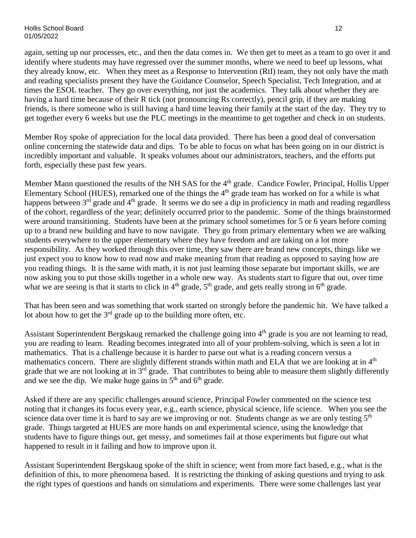again, setting up our processes, etc., and then the data comes in. We then get to meet as a team to go over it and identify where students may have regressed over the summer months, where we need to beef up lessons, what they already know, etc. When they meet as a Response to Intervention (RtI) team, they not only have the math and reading specialists present they have the Guidance Counselor, Speech Specialist, Tech Integration, and at times the ESOL teacher. They go over everything, not just the academics. They talk about whether they are having a hard time because of their R tick (not pronouncing Rs correctly), pencil grip, if they are making friends, is there someone who is still having a hard time leaving their family at the start of the day. They try to get together every 6 weeks but use the PLC meetings in the meantime to get together and check in on students.

Member Roy spoke of appreciation for the local data provided. There has been a good deal of conversation online concerning the statewide data and dips. To be able to focus on what has been going on in our district is incredibly important and valuable. It speaks volumes about our administrators, teachers, and the efforts put forth, especially these past few years.

Member Mann questioned the results of the NH SAS for the 4<sup>th</sup> grade. Candice Fowler, Principal, Hollis Upper Elementary School (HUES), remarked one of the things the  $4<sup>th</sup>$  grade team has worked on for a while is what happens between 3<sup>rd</sup> grade and 4<sup>th</sup> grade. It seems we do see a dip in proficiency in math and reading regardless of the cohort, regardless of the year; definitely occurred prior to the pandemic. Some of the things brainstormed were around transitioning. Students have been at the primary school sometimes for 5 or 6 years before coming up to a brand new building and have to now navigate. They go from primary elementary when we are walking students everywhere to the upper elementary where they have freedom and are taking on a lot more responsibility. As they worked through this over time, they saw there are brand new concepts, things like we just expect you to know how to read now and make meaning from that reading as opposed to saying how are you reading things. It is the same with math, it is not just learning those separate but important skills, we are now asking you to put those skills together in a whole new way. As students start to figure that out, over time what we are seeing is that it starts to click in  $4<sup>th</sup>$  grade,  $5<sup>th</sup>$  grade, and gets really strong in  $6<sup>th</sup>$  grade.

That has been seen and was something that work started on strongly before the pandemic hit. We have talked a lot about how to get the  $3<sup>rd</sup>$  grade up to the building more often, etc.

Assistant Superintendent Bergskaug remarked the challenge going into 4<sup>th</sup> grade is you are not learning to read, you are reading to learn. Reading becomes integrated into all of your problem-solving, which is seen a lot in mathematics. That is a challenge because it is harder to parse out what is a reading concern versus a mathematics concern. There are slightly different strands within math and ELA that we are looking at in  $4<sup>th</sup>$ grade that we are not looking at in  $3<sup>rd</sup>$  grade. That contributes to being able to measure them slightly differently and we see the dip. We make huge gains in  $5<sup>th</sup>$  and  $6<sup>th</sup>$  grade.

Asked if there are any specific challenges around science, Principal Fowler commented on the science test noting that it changes its focus every year, e.g., earth science, physical science, life science. When you see the science data over time it is hard to say are we improving or not. Students change as we are only testing  $5<sup>th</sup>$ grade. Things targeted at HUES are more hands on and experimental science, using the knowledge that students have to figure things out, get messy, and sometimes fail at those experiments but figure out what happened to result in it failing and how to improve upon it.

Assistant Superintendent Bergskaug spoke of the shift in science; went from more fact based, e.g., what is the definition of this, to more phenomena based. It is restricting the thinking of asking questions and trying to ask the right types of questions and hands on simulations and experiments. There were some challenges last year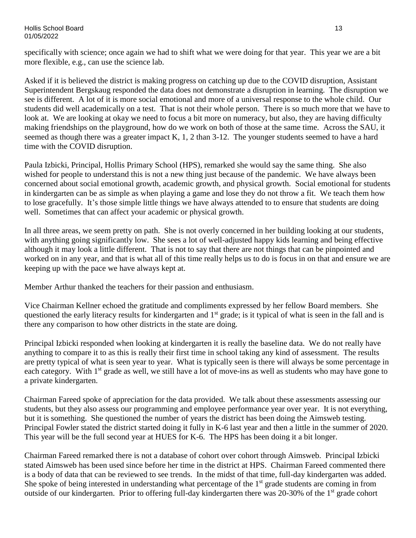specifically with science; once again we had to shift what we were doing for that year. This year we are a bit more flexible, e.g., can use the science lab.

Asked if it is believed the district is making progress on catching up due to the COVID disruption, Assistant Superintendent Bergskaug responded the data does not demonstrate a disruption in learning. The disruption we see is different. A lot of it is more social emotional and more of a universal response to the whole child. Our students did well academically on a test. That is not their whole person. There is so much more that we have to look at. We are looking at okay we need to focus a bit more on numeracy, but also, they are having difficulty making friendships on the playground, how do we work on both of those at the same time. Across the SAU, it seemed as though there was a greater impact K, 1, 2 than 3-12. The younger students seemed to have a hard time with the COVID disruption.

Paula Izbicki, Principal, Hollis Primary School (HPS), remarked she would say the same thing. She also wished for people to understand this is not a new thing just because of the pandemic. We have always been concerned about social emotional growth, academic growth, and physical growth. Social emotional for students in kindergarten can be as simple as when playing a game and lose they do not throw a fit. We teach them how to lose gracefully. It's those simple little things we have always attended to to ensure that students are doing well. Sometimes that can affect your academic or physical growth.

In all three areas, we seem pretty on path. She is not overly concerned in her building looking at our students, with anything going significantly low. She sees a lot of well-adjusted happy kids learning and being effective although it may look a little different. That is not to say that there are not things that can be pinpointed and worked on in any year, and that is what all of this time really helps us to do is focus in on that and ensure we are keeping up with the pace we have always kept at.

Member Arthur thanked the teachers for their passion and enthusiasm.

Vice Chairman Kellner echoed the gratitude and compliments expressed by her fellow Board members. She questioned the early literacy results for kindergarten and 1<sup>st</sup> grade; is it typical of what is seen in the fall and is there any comparison to how other districts in the state are doing.

Principal Izbicki responded when looking at kindergarten it is really the baseline data. We do not really have anything to compare it to as this is really their first time in school taking any kind of assessment. The results are pretty typical of what is seen year to year. What is typically seen is there will always be some percentage in each category. With 1<sup>st</sup> grade as well, we still have a lot of move-ins as well as students who may have gone to a private kindergarten.

Chairman Fareed spoke of appreciation for the data provided. We talk about these assessments assessing our students, but they also assess our programming and employee performance year over year. It is not everything, but it is something. She questioned the number of years the district has been doing the Aimsweb testing. Principal Fowler stated the district started doing it fully in K-6 last year and then a little in the summer of 2020. This year will be the full second year at HUES for K-6. The HPS has been doing it a bit longer.

Chairman Fareed remarked there is not a database of cohort over cohort through Aimsweb. Principal Izbicki stated Aimsweb has been used since before her time in the district at HPS. Chairman Fareed commented there is a body of data that can be reviewed to see trends. In the midst of that time, full-day kindergarten was added. She spoke of being interested in understanding what percentage of the 1<sup>st</sup> grade students are coming in from outside of our kindergarten. Prior to offering full-day kindergarten there was 20-30% of the 1<sup>st</sup> grade cohort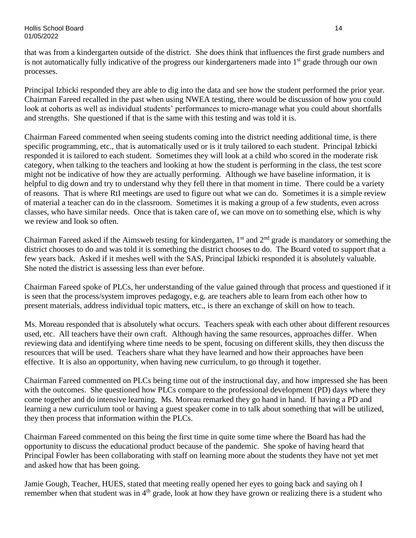Hollis School Board 14 01/05/2022

that was from a kindergarten outside of the district. She does think that influences the first grade numbers and is not automatically fully indicative of the progress our kindergarteners made into  $1<sup>st</sup>$  grade through our own processes.

Principal Izbicki responded they are able to dig into the data and see how the student performed the prior year. Chairman Fareed recalled in the past when using NWEA testing, there would be discussion of how you could look at cohorts as well as individual students' performances to micro-manage what you could about shortfalls and strengths. She questioned if that is the same with this testing and was told it is.

Chairman Fareed commented when seeing students coming into the district needing additional time, is there specific programming, etc., that is automatically used or is it truly tailored to each student. Principal Izbicki responded it is tailored to each student. Sometimes they will look at a child who scored in the moderate risk category, when talking to the teachers and looking at how the student is performing in the class, the test score might not be indicative of how they are actually performing. Although we have baseline information, it is helpful to dig down and try to understand why they fell there in that moment in time. There could be a variety of reasons. That is where RtI meetings are used to figure out what we can do. Sometimes it is a simple review of material a teacher can do in the classroom. Sometimes it is making a group of a few students, even across classes, who have similar needs. Once that is taken care of, we can move on to something else, which is why we review and look so often.

Chairman Fareed asked if the Aimsweb testing for kindergarten,  $1<sup>st</sup>$  and  $2<sup>nd</sup>$  grade is mandatory or something the district chooses to do and was told it is something the district chooses to do. The Board voted to support that a few years back. Asked if it meshes well with the SAS, Principal Izbicki responded it is absolutely valuable. She noted the district is assessing less than ever before.

Chairman Fareed spoke of PLCs, her understanding of the value gained through that process and questioned if it is seen that the process/system improves pedagogy, e.g. are teachers able to learn from each other how to present materials, address individual topic matters, etc., is there an exchange of skill on how to teach.

Ms. Moreau responded that is absolutely what occurs. Teachers speak with each other about different resources used, etc. All teachers have their own craft. Although having the same resources, approaches differ. When reviewing data and identifying where time needs to be spent, focusing on different skills, they then discuss the resources that will be used. Teachers share what they have learned and how their approaches have been effective. It is also an opportunity, when having new curriculum, to go through it together.

Chairman Fareed commented on PLCs being time out of the instructional day, and how impressed she has been with the outcomes. She questioned how PLCs compare to the professional development (PD) days where they come together and do intensive learning. Ms. Moreau remarked they go hand in hand. If having a PD and learning a new curriculum tool or having a guest speaker come in to talk about something that will be utilized, they then process that information within the PLCs.

Chairman Fareed commented on this being the first time in quite some time where the Board has had the opportunity to discuss the educational product because of the pandemic. She spoke of having heard that Principal Fowler has been collaborating with staff on learning more about the students they have not yet met and asked how that has been going.

Jamie Gough, Teacher, HUES, stated that meeting really opened her eyes to going back and saying oh I remember when that student was in 4<sup>th</sup> grade, look at how they have grown or realizing there is a student who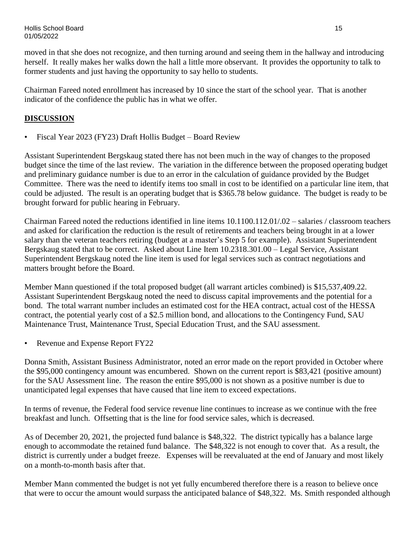Hollis School Board 15 01/05/2022

moved in that she does not recognize, and then turning around and seeing them in the hallway and introducing herself. It really makes her walks down the hall a little more observant. It provides the opportunity to talk to former students and just having the opportunity to say hello to students.

Chairman Fareed noted enrollment has increased by 10 since the start of the school year. That is another indicator of the confidence the public has in what we offer.

## **DISCUSSION**

• Fiscal Year 2023 (FY23) Draft Hollis Budget – Board Review

Assistant Superintendent Bergskaug stated there has not been much in the way of changes to the proposed budget since the time of the last review. The variation in the difference between the proposed operating budget and preliminary guidance number is due to an error in the calculation of guidance provided by the Budget Committee. There was the need to identify items too small in cost to be identified on a particular line item, that could be adjusted. The result is an operating budget that is \$365.78 below guidance. The budget is ready to be brought forward for public hearing in February.

Chairman Fareed noted the reductions identified in line items 10.1100.112.01/.02 – salaries / classroom teachers and asked for clarification the reduction is the result of retirements and teachers being brought in at a lower salary than the veteran teachers retiring (budget at a master's Step 5 for example). Assistant Superintendent Bergskaug stated that to be correct. Asked about Line Item 10.2318.301.00 – Legal Service, Assistant Superintendent Bergskaug noted the line item is used for legal services such as contract negotiations and matters brought before the Board.

Member Mann questioned if the total proposed budget (all warrant articles combined) is \$15,537,409.22. Assistant Superintendent Bergskaug noted the need to discuss capital improvements and the potential for a bond. The total warrant number includes an estimated cost for the HEA contract, actual cost of the HESSA contract, the potential yearly cost of a \$2.5 million bond, and allocations to the Contingency Fund, SAU Maintenance Trust, Maintenance Trust, Special Education Trust, and the SAU assessment.

Revenue and Expense Report FY22

Donna Smith, Assistant Business Administrator, noted an error made on the report provided in October where the \$95,000 contingency amount was encumbered. Shown on the current report is \$83,421 (positive amount) for the SAU Assessment line. The reason the entire \$95,000 is not shown as a positive number is due to unanticipated legal expenses that have caused that line item to exceed expectations.

In terms of revenue, the Federal food service revenue line continues to increase as we continue with the free breakfast and lunch. Offsetting that is the line for food service sales, which is decreased.

As of December 20, 2021, the projected fund balance is \$48,322. The district typically has a balance large enough to accommodate the retained fund balance. The \$48,322 is not enough to cover that. As a result, the district is currently under a budget freeze. Expenses will be reevaluated at the end of January and most likely on a month-to-month basis after that.

Member Mann commented the budget is not yet fully encumbered therefore there is a reason to believe once that were to occur the amount would surpass the anticipated balance of \$48,322. Ms. Smith responded although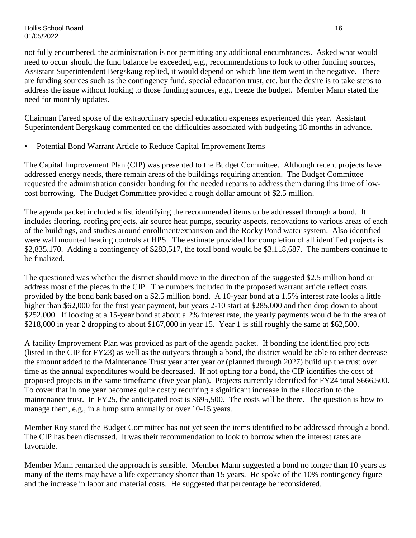not fully encumbered, the administration is not permitting any additional encumbrances. Asked what would need to occur should the fund balance be exceeded, e.g., recommendations to look to other funding sources, Assistant Superintendent Bergskaug replied, it would depend on which line item went in the negative. There are funding sources such as the contingency fund, special education trust, etc. but the desire is to take steps to address the issue without looking to those funding sources, e.g., freeze the budget. Member Mann stated the need for monthly updates.

Chairman Fareed spoke of the extraordinary special education expenses experienced this year. Assistant Superintendent Bergskaug commented on the difficulties associated with budgeting 18 months in advance.

• Potential Bond Warrant Article to Reduce Capital Improvement Items

The Capital Improvement Plan (CIP) was presented to the Budget Committee. Although recent projects have addressed energy needs, there remain areas of the buildings requiring attention. The Budget Committee requested the administration consider bonding for the needed repairs to address them during this time of lowcost borrowing. The Budget Committee provided a rough dollar amount of \$2.5 million.

The agenda packet included a list identifying the recommended items to be addressed through a bond. It includes flooring, roofing projects, air source heat pumps, security aspects, renovations to various areas of each of the buildings, and studies around enrollment/expansion and the Rocky Pond water system. Also identified were wall mounted heating controls at HPS. The estimate provided for completion of all identified projects is \$2,835,170. Adding a contingency of \$283,517, the total bond would be \$3,118,687. The numbers continue to be finalized.

The questioned was whether the district should move in the direction of the suggested \$2.5 million bond or address most of the pieces in the CIP. The numbers included in the proposed warrant article reflect costs provided by the bond bank based on a \$2.5 million bond. A 10-year bond at a 1.5% interest rate looks a little higher than \$62,000 for the first year payment, but years 2-10 start at \$285,000 and then drop down to about \$252,000. If looking at a 15-year bond at about a 2% interest rate, the yearly payments would be in the area of \$218,000 in year 2 dropping to about \$167,000 in year 15. Year 1 is still roughly the same at \$62,500.

A facility Improvement Plan was provided as part of the agenda packet. If bonding the identified projects (listed in the CIP for FY23) as well as the outyears through a bond, the district would be able to either decrease the amount added to the Maintenance Trust year after year or (planned through 2027) build up the trust over time as the annual expenditures would be decreased. If not opting for a bond, the CIP identifies the cost of proposed projects in the same timeframe (five year plan). Projects currently identified for FY24 total \$666,500. To cover that in one year becomes quite costly requiring a significant increase in the allocation to the maintenance trust. In FY25, the anticipated cost is \$695,500. The costs will be there. The question is how to manage them, e.g., in a lump sum annually or over 10-15 years.

Member Roy stated the Budget Committee has not yet seen the items identified to be addressed through a bond. The CIP has been discussed. It was their recommendation to look to borrow when the interest rates are favorable.

Member Mann remarked the approach is sensible. Member Mann suggested a bond no longer than 10 years as many of the items may have a life expectancy shorter than 15 years. He spoke of the 10% contingency figure and the increase in labor and material costs. He suggested that percentage be reconsidered.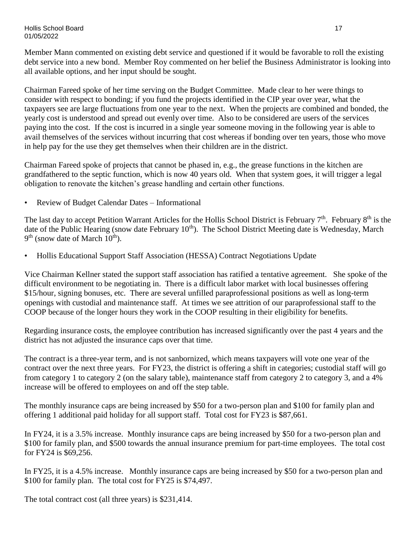Hollis School Board 17 01/05/2022

Member Mann commented on existing debt service and questioned if it would be favorable to roll the existing debt service into a new bond. Member Roy commented on her belief the Business Administrator is looking into all available options, and her input should be sought.

Chairman Fareed spoke of her time serving on the Budget Committee. Made clear to her were things to consider with respect to bonding; if you fund the projects identified in the CIP year over year, what the taxpayers see are large fluctuations from one year to the next. When the projects are combined and bonded, the yearly cost is understood and spread out evenly over time. Also to be considered are users of the services paying into the cost. If the cost is incurred in a single year someone moving in the following year is able to avail themselves of the services without incurring that cost whereas if bonding over ten years, those who move in help pay for the use they get themselves when their children are in the district.

Chairman Fareed spoke of projects that cannot be phased in, e.g., the grease functions in the kitchen are grandfathered to the septic function, which is now 40 years old. When that system goes, it will trigger a legal obligation to renovate the kitchen's grease handling and certain other functions.

• Review of Budget Calendar Dates – Informational

The last day to accept Petition Warrant Articles for the Hollis School District is February 7<sup>th</sup>. February 8<sup>th</sup> is the date of the Public Hearing (snow date February 10<sup>th</sup>). The School District Meeting date is Wednesday, March  $9<sup>th</sup>$  (snow date of March  $10<sup>th</sup>$ ).

• Hollis Educational Support Staff Association (HESSA) Contract Negotiations Update

Vice Chairman Kellner stated the support staff association has ratified a tentative agreement. She spoke of the difficult environment to be negotiating in. There is a difficult labor market with local businesses offering \$15/hour, signing bonuses, etc. There are several unfilled paraprofessional positions as well as long-term openings with custodial and maintenance staff. At times we see attrition of our paraprofessional staff to the COOP because of the longer hours they work in the COOP resulting in their eligibility for benefits.

Regarding insurance costs, the employee contribution has increased significantly over the past 4 years and the district has not adjusted the insurance caps over that time.

The contract is a three-year term, and is not sanbornized, which means taxpayers will vote one year of the contract over the next three years. For FY23, the district is offering a shift in categories; custodial staff will go from category 1 to category 2 (on the salary table), maintenance staff from category 2 to category 3, and a 4% increase will be offered to employees on and off the step table.

The monthly insurance caps are being increased by \$50 for a two-person plan and \$100 for family plan and offering 1 additional paid holiday for all support staff. Total cost for FY23 is \$87,661.

In FY24, it is a 3.5% increase. Monthly insurance caps are being increased by \$50 for a two-person plan and \$100 for family plan, and \$500 towards the annual insurance premium for part-time employees. The total cost for FY24 is \$69,256.

In FY25, it is a 4.5% increase. Monthly insurance caps are being increased by \$50 for a two-person plan and \$100 for family plan. The total cost for FY25 is \$74,497.

The total contract cost (all three years) is \$231,414.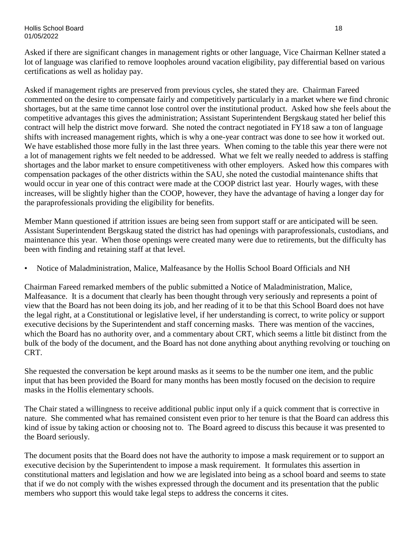#### Hollis School Board 18 01/05/2022

Asked if there are significant changes in management rights or other language, Vice Chairman Kellner stated a lot of language was clarified to remove loopholes around vacation eligibility, pay differential based on various certifications as well as holiday pay.

Asked if management rights are preserved from previous cycles, she stated they are. Chairman Fareed commented on the desire to compensate fairly and competitively particularly in a market where we find chronic shortages, but at the same time cannot lose control over the institutional product. Asked how she feels about the competitive advantages this gives the administration; Assistant Superintendent Bergskaug stated her belief this contract will help the district move forward. She noted the contract negotiated in FY18 saw a ton of language shifts with increased management rights, which is why a one-year contract was done to see how it worked out. We have established those more fully in the last three years. When coming to the table this year there were not a lot of management rights we felt needed to be addressed. What we felt we really needed to address is staffing shortages and the labor market to ensure competitiveness with other employers. Asked how this compares with compensation packages of the other districts within the SAU, she noted the custodial maintenance shifts that would occur in year one of this contract were made at the COOP district last year. Hourly wages, with these increases, will be slightly higher than the COOP, however, they have the advantage of having a longer day for the paraprofessionals providing the eligibility for benefits.

Member Mann questioned if attrition issues are being seen from support staff or are anticipated will be seen. Assistant Superintendent Bergskaug stated the district has had openings with paraprofessionals, custodians, and maintenance this year. When those openings were created many were due to retirements, but the difficulty has been with finding and retaining staff at that level.

• Notice of Maladministration, Malice, Malfeasance by the Hollis School Board Officials and NH

Chairman Fareed remarked members of the public submitted a Notice of Maladministration, Malice, Malfeasance. It is a document that clearly has been thought through very seriously and represents a point of view that the Board has not been doing its job, and her reading of it to be that this School Board does not have the legal right, at a Constitutional or legislative level, if her understanding is correct, to write policy or support executive decisions by the Superintendent and staff concerning masks. There was mention of the vaccines, which the Board has no authority over, and a commentary about CRT, which seems a little bit distinct from the bulk of the body of the document, and the Board has not done anything about anything revolving or touching on CRT.

She requested the conversation be kept around masks as it seems to be the number one item, and the public input that has been provided the Board for many months has been mostly focused on the decision to require masks in the Hollis elementary schools.

The Chair stated a willingness to receive additional public input only if a quick comment that is corrective in nature. She commented what has remained consistent even prior to her tenure is that the Board can address this kind of issue by taking action or choosing not to. The Board agreed to discuss this because it was presented to the Board seriously.

The document posits that the Board does not have the authority to impose a mask requirement or to support an executive decision by the Superintendent to impose a mask requirement. It formulates this assertion in constitutional matters and legislation and how we are legislated into being as a school board and seems to state that if we do not comply with the wishes expressed through the document and its presentation that the public members who support this would take legal steps to address the concerns it cites.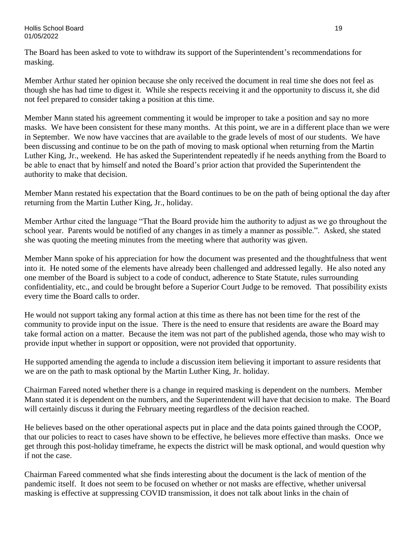The Board has been asked to vote to withdraw its support of the Superintendent's recommendations for masking.

Member Arthur stated her opinion because she only received the document in real time she does not feel as though she has had time to digest it. While she respects receiving it and the opportunity to discuss it, she did not feel prepared to consider taking a position at this time.

Member Mann stated his agreement commenting it would be improper to take a position and say no more masks. We have been consistent for these many months. At this point, we are in a different place than we were in September. We now have vaccines that are available to the grade levels of most of our students. We have been discussing and continue to be on the path of moving to mask optional when returning from the Martin Luther King, Jr., weekend. He has asked the Superintendent repeatedly if he needs anything from the Board to be able to enact that by himself and noted the Board's prior action that provided the Superintendent the authority to make that decision.

Member Mann restated his expectation that the Board continues to be on the path of being optional the day after returning from the Martin Luther King, Jr., holiday.

Member Arthur cited the language "That the Board provide him the authority to adjust as we go throughout the school year. Parents would be notified of any changes in as timely a manner as possible.". Asked, she stated she was quoting the meeting minutes from the meeting where that authority was given.

Member Mann spoke of his appreciation for how the document was presented and the thoughtfulness that went into it. He noted some of the elements have already been challenged and addressed legally. He also noted any one member of the Board is subject to a code of conduct, adherence to State Statute, rules surrounding confidentiality, etc., and could be brought before a Superior Court Judge to be removed. That possibility exists every time the Board calls to order.

He would not support taking any formal action at this time as there has not been time for the rest of the community to provide input on the issue. There is the need to ensure that residents are aware the Board may take formal action on a matter. Because the item was not part of the published agenda, those who may wish to provide input whether in support or opposition, were not provided that opportunity.

He supported amending the agenda to include a discussion item believing it important to assure residents that we are on the path to mask optional by the Martin Luther King, Jr. holiday.

Chairman Fareed noted whether there is a change in required masking is dependent on the numbers. Member Mann stated it is dependent on the numbers, and the Superintendent will have that decision to make. The Board will certainly discuss it during the February meeting regardless of the decision reached.

He believes based on the other operational aspects put in place and the data points gained through the COOP, that our policies to react to cases have shown to be effective, he believes more effective than masks. Once we get through this post-holiday timeframe, he expects the district will be mask optional, and would question why if not the case.

Chairman Fareed commented what she finds interesting about the document is the lack of mention of the pandemic itself. It does not seem to be focused on whether or not masks are effective, whether universal masking is effective at suppressing COVID transmission, it does not talk about links in the chain of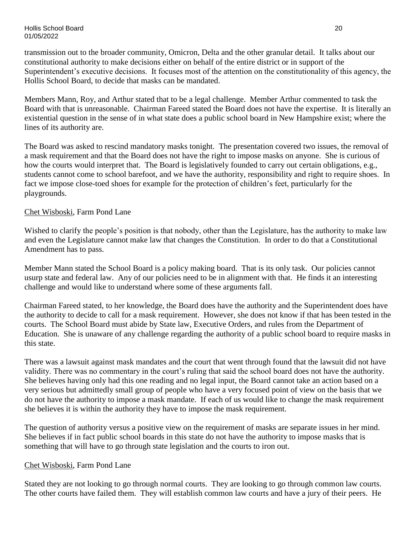transmission out to the broader community, Omicron, Delta and the other granular detail. It talks about our constitutional authority to make decisions either on behalf of the entire district or in support of the Superintendent's executive decisions. It focuses most of the attention on the constitutionality of this agency, the Hollis School Board, to decide that masks can be mandated.

Members Mann, Roy, and Arthur stated that to be a legal challenge. Member Arthur commented to task the Board with that is unreasonable. Chairman Fareed stated the Board does not have the expertise. It is literally an existential question in the sense of in what state does a public school board in New Hampshire exist; where the lines of its authority are.

The Board was asked to rescind mandatory masks tonight. The presentation covered two issues, the removal of a mask requirement and that the Board does not have the right to impose masks on anyone. She is curious of how the courts would interpret that. The Board is legislatively founded to carry out certain obligations, e.g., students cannot come to school barefoot, and we have the authority, responsibility and right to require shoes. In fact we impose close-toed shoes for example for the protection of children's feet, particularly for the playgrounds.

#### Chet Wisboski, Farm Pond Lane

Wished to clarify the people's position is that nobody, other than the Legislature, has the authority to make law and even the Legislature cannot make law that changes the Constitution. In order to do that a Constitutional Amendment has to pass.

Member Mann stated the School Board is a policy making board. That is its only task. Our policies cannot usurp state and federal law. Any of our policies need to be in alignment with that. He finds it an interesting challenge and would like to understand where some of these arguments fall.

Chairman Fareed stated, to her knowledge, the Board does have the authority and the Superintendent does have the authority to decide to call for a mask requirement. However, she does not know if that has been tested in the courts. The School Board must abide by State law, Executive Orders, and rules from the Department of Education. She is unaware of any challenge regarding the authority of a public school board to require masks in this state.

There was a lawsuit against mask mandates and the court that went through found that the lawsuit did not have validity. There was no commentary in the court's ruling that said the school board does not have the authority. She believes having only had this one reading and no legal input, the Board cannot take an action based on a very serious but admittedly small group of people who have a very focused point of view on the basis that we do not have the authority to impose a mask mandate. If each of us would like to change the mask requirement she believes it is within the authority they have to impose the mask requirement.

The question of authority versus a positive view on the requirement of masks are separate issues in her mind. She believes if in fact public school boards in this state do not have the authority to impose masks that is something that will have to go through state legislation and the courts to iron out.

#### Chet Wisboski, Farm Pond Lane

Stated they are not looking to go through normal courts. They are looking to go through common law courts. The other courts have failed them. They will establish common law courts and have a jury of their peers. He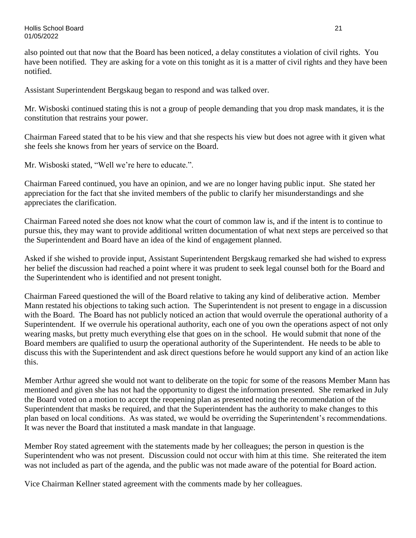also pointed out that now that the Board has been noticed, a delay constitutes a violation of civil rights. You have been notified. They are asking for a vote on this tonight as it is a matter of civil rights and they have been notified.

Assistant Superintendent Bergskaug began to respond and was talked over.

Mr. Wisboski continued stating this is not a group of people demanding that you drop mask mandates, it is the constitution that restrains your power.

Chairman Fareed stated that to be his view and that she respects his view but does not agree with it given what she feels she knows from her years of service on the Board.

Mr. Wisboski stated, "Well we're here to educate.".

Chairman Fareed continued, you have an opinion, and we are no longer having public input. She stated her appreciation for the fact that she invited members of the public to clarify her misunderstandings and she appreciates the clarification.

Chairman Fareed noted she does not know what the court of common law is, and if the intent is to continue to pursue this, they may want to provide additional written documentation of what next steps are perceived so that the Superintendent and Board have an idea of the kind of engagement planned.

Asked if she wished to provide input, Assistant Superintendent Bergskaug remarked she had wished to express her belief the discussion had reached a point where it was prudent to seek legal counsel both for the Board and the Superintendent who is identified and not present tonight.

Chairman Fareed questioned the will of the Board relative to taking any kind of deliberative action. Member Mann restated his objections to taking such action. The Superintendent is not present to engage in a discussion with the Board. The Board has not publicly noticed an action that would overrule the operational authority of a Superintendent. If we overrule his operational authority, each one of you own the operations aspect of not only wearing masks, but pretty much everything else that goes on in the school. He would submit that none of the Board members are qualified to usurp the operational authority of the Superintendent. He needs to be able to discuss this with the Superintendent and ask direct questions before he would support any kind of an action like this.

Member Arthur agreed she would not want to deliberate on the topic for some of the reasons Member Mann has mentioned and given she has not had the opportunity to digest the information presented. She remarked in July the Board voted on a motion to accept the reopening plan as presented noting the recommendation of the Superintendent that masks be required, and that the Superintendent has the authority to make changes to this plan based on local conditions. As was stated, we would be overriding the Superintendent's recommendations. It was never the Board that instituted a mask mandate in that language.

Member Roy stated agreement with the statements made by her colleagues; the person in question is the Superintendent who was not present. Discussion could not occur with him at this time. She reiterated the item was not included as part of the agenda, and the public was not made aware of the potential for Board action.

Vice Chairman Kellner stated agreement with the comments made by her colleagues.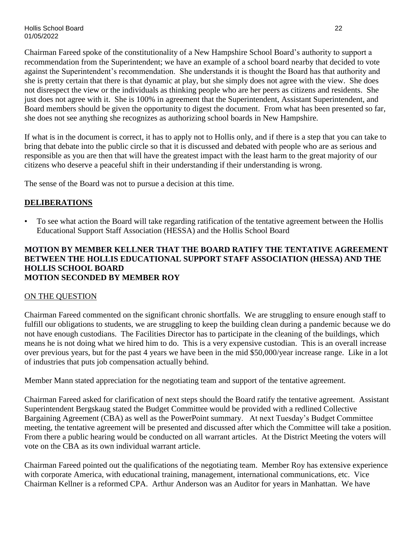Chairman Fareed spoke of the constitutionality of a New Hampshire School Board's authority to support a recommendation from the Superintendent; we have an example of a school board nearby that decided to vote against the Superintendent's recommendation. She understands it is thought the Board has that authority and she is pretty certain that there is that dynamic at play, but she simply does not agree with the view. She does not disrespect the view or the individuals as thinking people who are her peers as citizens and residents. She just does not agree with it. She is 100% in agreement that the Superintendent, Assistant Superintendent, and Board members should be given the opportunity to digest the document. From what has been presented so far, she does not see anything she recognizes as authorizing school boards in New Hampshire.

If what is in the document is correct, it has to apply not to Hollis only, and if there is a step that you can take to bring that debate into the public circle so that it is discussed and debated with people who are as serious and responsible as you are then that will have the greatest impact with the least harm to the great majority of our citizens who deserve a peaceful shift in their understanding if their understanding is wrong.

The sense of the Board was not to pursue a decision at this time.

### **DELIBERATIONS**

• To see what action the Board will take regarding ratification of the tentative agreement between the Hollis Educational Support Staff Association (HESSA) and the Hollis School Board

#### **MOTION BY MEMBER KELLNER THAT THE BOARD RATIFY THE TENTATIVE AGREEMENT BETWEEN THE HOLLIS EDUCATIONAL SUPPORT STAFF ASSOCIATION (HESSA) AND THE HOLLIS SCHOOL BOARD MOTION SECONDED BY MEMBER ROY**

### ON THE QUESTION

Chairman Fareed commented on the significant chronic shortfalls. We are struggling to ensure enough staff to fulfill our obligations to students, we are struggling to keep the building clean during a pandemic because we do not have enough custodians. The Facilities Director has to participate in the cleaning of the buildings, which means he is not doing what we hired him to do. This is a very expensive custodian. This is an overall increase over previous years, but for the past 4 years we have been in the mid \$50,000/year increase range. Like in a lot of industries that puts job compensation actually behind.

Member Mann stated appreciation for the negotiating team and support of the tentative agreement.

Chairman Fareed asked for clarification of next steps should the Board ratify the tentative agreement. Assistant Superintendent Bergskaug stated the Budget Committee would be provided with a redlined Collective Bargaining Agreement (CBA) as well as the PowerPoint summary. At next Tuesday's Budget Committee meeting, the tentative agreement will be presented and discussed after which the Committee will take a position. From there a public hearing would be conducted on all warrant articles. At the District Meeting the voters will vote on the CBA as its own individual warrant article.

Chairman Fareed pointed out the qualifications of the negotiating team. Member Roy has extensive experience with corporate America, with educational training, management, international communications, etc. Vice Chairman Kellner is a reformed CPA. Arthur Anderson was an Auditor for years in Manhattan. We have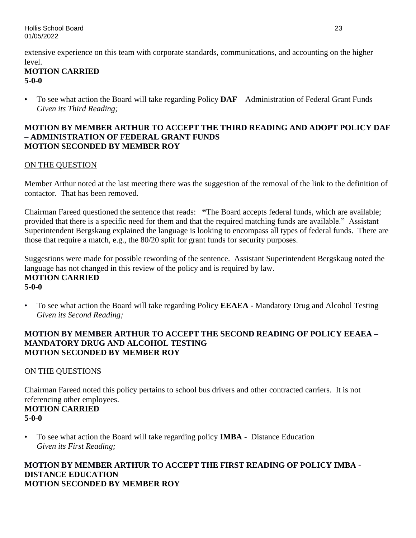extensive experience on this team with corporate standards, communications, and accounting on the higher level.

## **MOTION CARRIED 5-0-0**

• To see what action the Board will take regarding Policy **DAF** – Administration of Federal Grant Funds *Given its Third Reading;*

### **MOTION BY MEMBER ARTHUR TO ACCEPT THE THIRD READING AND ADOPT POLICY DAF – ADMINISTRATION OF FEDERAL GRANT FUNDS MOTION SECONDED BY MEMBER ROY**

## ON THE QUESTION

Member Arthur noted at the last meeting there was the suggestion of the removal of the link to the definition of contactor. That has been removed.

Chairman Fareed questioned the sentence that reads: **"**The Board accepts federal funds, which are available; provided that there is a specific need for them and that the required matching funds are available." Assistant Superintendent Bergskaug explained the language is looking to encompass all types of federal funds. There are those that require a match, e.g., the 80/20 split for grant funds for security purposes.

Suggestions were made for possible rewording of the sentence. Assistant Superintendent Bergskaug noted the language has not changed in this review of the policy and is required by law. **MOTION CARRIED 5-0-0**

• To see what action the Board will take regarding Policy **EEAEA** - Mandatory Drug and Alcohol Testing *Given its Second Reading;*

## **MOTION BY MEMBER ARTHUR TO ACCEPT THE SECOND READING OF POLICY EEAEA – MANDATORY DRUG AND ALCOHOL TESTING MOTION SECONDED BY MEMBER ROY**

## ON THE QUESTIONS

Chairman Fareed noted this policy pertains to school bus drivers and other contracted carriers. It is not referencing other employees.

# **MOTION CARRIED 5-0-0**

• To see what action the Board will take regarding policy **IMBA** - Distance Education *Given its First Reading;*

## **MOTION BY MEMBER ARTHUR TO ACCEPT THE FIRST READING OF POLICY IMBA - DISTANCE EDUCATION MOTION SECONDED BY MEMBER ROY**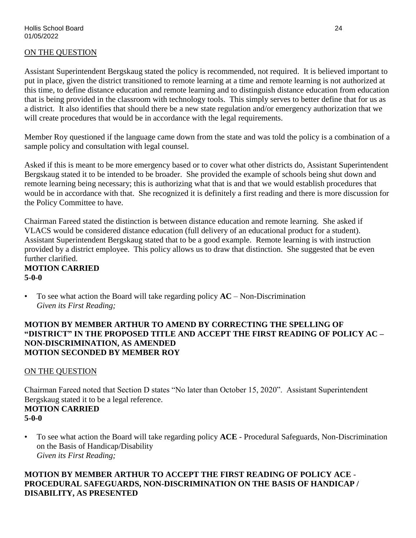## ON THE QUESTION

Assistant Superintendent Bergskaug stated the policy is recommended, not required. It is believed important to put in place, given the district transitioned to remote learning at a time and remote learning is not authorized at this time, to define distance education and remote learning and to distinguish distance education from education that is being provided in the classroom with technology tools. This simply serves to better define that for us as a district. It also identifies that should there be a new state regulation and/or emergency authorization that we will create procedures that would be in accordance with the legal requirements.

Member Roy questioned if the language came down from the state and was told the policy is a combination of a sample policy and consultation with legal counsel.

Asked if this is meant to be more emergency based or to cover what other districts do, Assistant Superintendent Bergskaug stated it to be intended to be broader. She provided the example of schools being shut down and remote learning being necessary; this is authorizing what that is and that we would establish procedures that would be in accordance with that. She recognized it is definitely a first reading and there is more discussion for the Policy Committee to have.

Chairman Fareed stated the distinction is between distance education and remote learning. She asked if VLACS would be considered distance education (full delivery of an educational product for a student). Assistant Superintendent Bergskaug stated that to be a good example. Remote learning is with instruction provided by a district employee. This policy allows us to draw that distinction. She suggested that be even further clarified.

### **MOTION CARRIED 5-0-0**

• To see what action the Board will take regarding policy **AC** – Non-Discrimination *Given its First Reading;*

#### **MOTION BY MEMBER ARTHUR TO AMEND BY CORRECTING THE SPELLING OF "DISTRICT" IN THE PROPOSED TITLE AND ACCEPT THE FIRST READING OF POLICY AC – NON-DISCRIMINATION, AS AMENDED MOTION SECONDED BY MEMBER ROY**

### ON THE QUESTION

Chairman Fareed noted that Section D states "No later than October 15, 2020". Assistant Superintendent Bergskaug stated it to be a legal reference.

### **MOTION CARRIED 5-0-0**

• To see what action the Board will take regarding policy **ACE** - Procedural Safeguards, Non-Discrimination on the Basis of Handicap/Disability *Given its First Reading;*

## **MOTION BY MEMBER ARTHUR TO ACCEPT THE FIRST READING OF POLICY ACE** - **PROCEDURAL SAFEGUARDS, NON-DISCRIMINATION ON THE BASIS OF HANDICAP / DISABILITY, AS PRESENTED**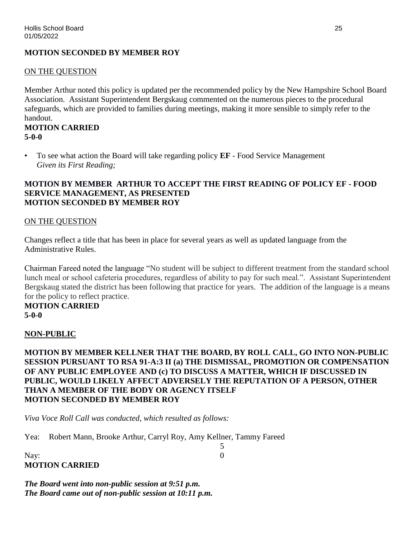### **MOTION SECONDED BY MEMBER ROY**

#### ON THE QUESTION

Member Arthur noted this policy is updated per the recommended policy by the New Hampshire School Board Association. Assistant Superintendent Bergskaug commented on the numerous pieces to the procedural safeguards, which are provided to families during meetings, making it more sensible to simply refer to the handout.

### **MOTION CARRIED 5-0-0**

• To see what action the Board will take regarding policy **EF** - Food Service Management *Given its First Reading;*

#### **MOTION BY MEMBER ARTHUR TO ACCEPT THE FIRST READING OF POLICY EF - FOOD SERVICE MANAGEMENT, AS PRESENTED MOTION SECONDED BY MEMBER ROY**

#### ON THE QUESTION

Changes reflect a title that has been in place for several years as well as updated language from the Administrative Rules.

Chairman Fareed noted the language "No student will be subject to different treatment from the standard school lunch meal or school cafeteria procedures, regardless of ability to pay for such meal.". Assistant Superintendent Bergskaug stated the district has been following that practice for years. The addition of the language is a means for the policy to reflect practice.

### **MOTION CARRIED 5-0-0**

#### **NON-PUBLIC**

**MOTION BY MEMBER KELLNER THAT THE BOARD, BY ROLL CALL, GO INTO NON-PUBLIC SESSION PURSUANT TO RSA 91-A:3 II (a) THE DISMISSAL, PROMOTION OR COMPENSATION OF ANY PUBLIC EMPLOYEE AND (c) TO DISCUSS A MATTER, WHICH IF DISCUSSED IN PUBLIC, WOULD LIKELY AFFECT ADVERSELY THE REPUTATION OF A PERSON, OTHER THAN A MEMBER OF THE BODY OR AGENCY ITSELF MOTION SECONDED BY MEMBER ROY**

5

*Viva Voce Roll Call was conducted, which resulted as follows:*

Yea: Robert Mann, Brooke Arthur, Carryl Roy, Amy Kellner, Tammy Fareed

Nay: 0 **MOTION CARRIED**

*The Board went into non-public session at 9:51 p.m. The Board came out of non-public session at 10:11 p.m.*